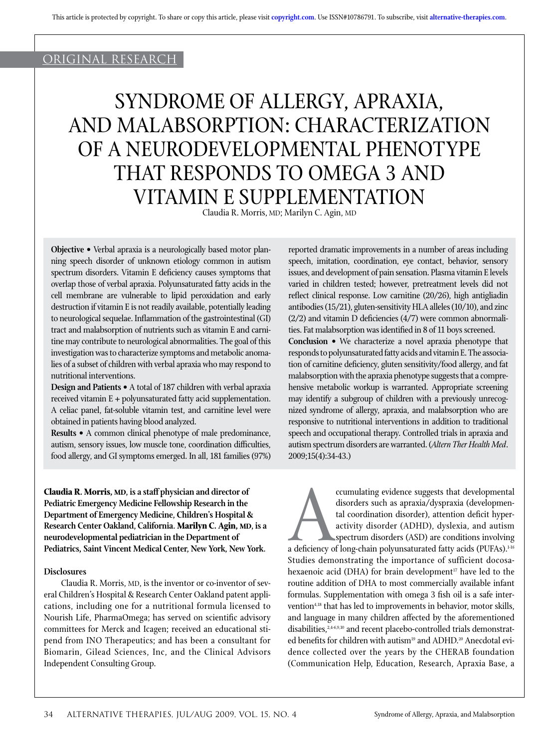# original research

# SYNDROME OF ALLERGY, APRAXIA, AND MALABSORPTION: CHARACTERIZATION OF A NEURODEVELOPMENTAL PHENOTYPE THAT RESPONDS TO OMEGA 3 AND VITAMIN E SUPPLEMENTATION

Claudia R. Morris, MD; Marilyn C. Agin, MD

**Objective •** Verbal apraxia is a neurologically based motor planning speech disorder of unknown etiology common in autism spectrum disorders. Vitamin E deficiency causes symptoms that overlap those of verbal apraxia. Polyunsaturated fatty acids in the cell membrane are vulnerable to lipid peroxidation and early destruction if vitamin E is not readily available, potentially leading to neurological sequelae. Inflammation of the gastrointestinal (GI) tract and malabsorption of nutrients such as vitamin E and carnitine may contribute to neurological abnormalities. The goal of this investigation was to characterize symptoms and metabolic anomalies of a subset of children with verbal apraxia who may respond to nutritional interventions.

**Design and Patients •** A total of 187 children with verbal apraxia received vitamin E + polyunsaturated fatty acid supplementation. A celiac panel, fat-soluble vitamin test, and carnitine level were obtained in patients having blood analyzed.

**Results •** A common clinical phenotype of male predominance, autism, sensory issues, low muscle tone, coordination difficulties, food allergy, and GI symptoms emerged. In all, 181 families (97%)

**Claudia R. Morris, MD, is a staff physician and director of Pediatric Emergency Medicine Fellowship Research in the Department of Emergency Medicine, Children's Hospital & Research Center Oakland, California. Marilyn C. Agin, MD, is a neurodevelopmental pediatrician in the Department of Pediatrics, Saint Vincent Medical Center, New York, New York.**

## **Disclosures**

Claudia R. Morris, MD, is the inventor or co-inventor of several Children's Hospital & Research Center Oakland patent applications, including one for a nutritional formula licensed to Nourish Life, PharmaOmega; has served on scientific advisory committees for Merck and Icagen; received an educational stipend from INO Therapeutics; and has been a consultant for Biomarin, Gilead Sciences, Inc, and the Clinical Advisors Independent Consulting Group.

reported dramatic improvements in a number of areas including speech, imitation, coordination, eye contact, behavior, sensory issues, and development of pain sensation. Plasma vitamin E levels varied in children tested; however, pretreatment levels did not reflect clinical response. Low carnitine (20/26), high antigliadin antibodies (15/21), gluten-sensitivity HLA alleles (10/10), and zinc  $(2/2)$  and vitamin D deficiencies  $(4/7)$  were common abnormalities. Fat malabsorption was identified in 8 of 11 boys screened. **Conclusion •** We characterize a novel apraxia phenotype that responds to polyunsaturated fatty acids and vitamin E. The association of carnitine deficiency, gluten sensitivity/food allergy, and fat malabsorption with the apraxia phenotype suggests that a comprehensive metabolic workup is warranted. Appropriate screening may identify a subgroup of children with a previously unrecognized syndrome of allergy, apraxia, and malabsorption who are responsive to nutritional interventions in addition to traditional speech and occupational therapy. Controlled trials in apraxia and autism spectrum disorders are warranted. (*Altern Ther Health Med*. 2009;15(4):34-43.)

cumulating evidence suggests that developmental<br>disorders such as apraxia/dyspraxia (developmen-<br>tal coordination disorder), attention deficit hyper-<br>activity disorder (ADHD), dyslexia, and autism<br>spectrum disorders (ASD) disorders such as apraxia/dyspraxia (developmental coordination disorder), attention deficit hyperactivity disorder (ADHD), dyslexia, and autism spectrum disorders (ASD) are conditions involving a deficiency of long-chain polyunsaturated fatty acids (PUFAs). $^{\scriptscriptstyle 146}$ Studies demonstrating the importance of sufficient docosahexaenoic acid (DHA) for brain development<sup>17</sup> have led to the routine addition of DHA to most commercially available infant formulas. Supplementation with omega 3 fish oil is a safe intervention<sup>4,18</sup> that has led to improvements in behavior, motor skills, and language in many children affected by the aforementioned disabilities,<sup>2,4-6,9,10</sup> and recent placebo-controlled trials demonstrated benefits for children with autism<sup>19</sup> and ADHD.<sup>20</sup> Anecdotal evidence collected over the years by the CHERAB foundation (Communication Help, Education, Research, Apraxia Base, a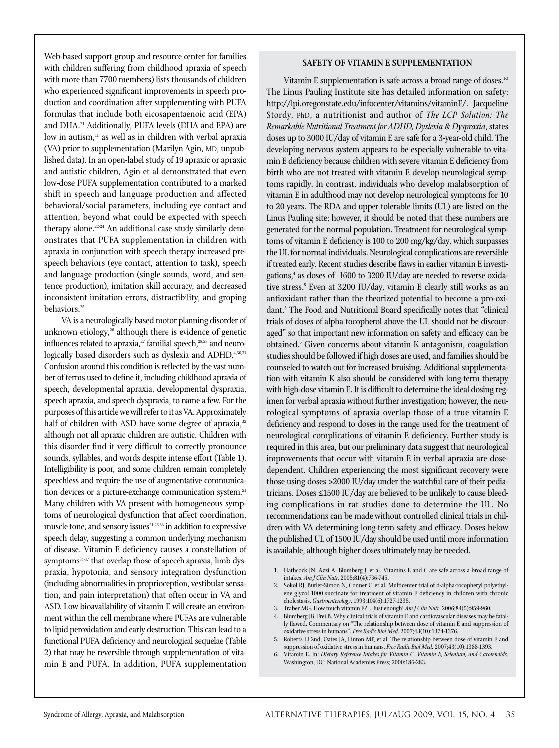Web-based support group and resource center for families with children suffering from childhood apraxia of speech with more than 7700 members) lists thousands of children who experienced significant improvements in speech production and coordination after supplementing with PUFA formulas that include both eicosapentaenoic acid (EPA) and DHA.<sup>21</sup> Additionally, PUFA levels (DHA and EPA) are low in autism, $11$  as well as in children with verbal apraxia (VA) prior to supplementation (Marilyn Agin, MD, unpublished data). In an open-label study of 19 apraxic or apraxic and autistic children, Agin et al demonstrated that even low-dose PUFA supplementation contributed to a marked shift in speech and language production and affected behavioral/social parameters, including eye contact and attention, beyond what could be expected with speech therapy alone.<sup>22-24</sup> An additional case study similarly demonstrates that PUFA supplementation in children with apraxia in conjunction with speech therapy increased prespeech behaviors (eye contact, attention to task), speech and language production (single sounds, word, and sentence production), imitation skill accuracy, and decreased inconsistent imitation errors, distractibility, and groping behaviors.<sup>25</sup>

VA is a neurologically based motor planning disorder of unknown etiology, $26$  although there is evidence of genetic influences related to apraxia,<sup>27</sup> familial speech,<sup>28,29</sup> and neurologically based disorders such as dyslexia and ADHD.<sup>4,30,31</sup> Confusion around this condition is reflected by the vast number of terms used to define it, including childhood apraxia of speech, developmental apraxia, developmental dyspraxia, speech apraxia, and speech dyspraxia, to name a few. For the purposes of this article we will refer to it as VA. Approximately half of children with ASD have some degree of apraxia, $32$ although not all apraxic children are autistic. Children with this disorder find it very difficult to correctly pronounce sounds, syllables, and words despite intense effort (Table 1). Intelligibility is poor, and some children remain completely speechless and require the use of augmentative communication devices or a picture-exchange communication system.<sup>21</sup> Many children with VA present with homogeneous symptoms of neurological dysfunction that affect coordination, muscle tone, and sensory issues<sup>21,26,33</sup> in addition to expressive speech delay, suggesting a common underlying mechanism of disease. Vitamin E deficiency causes a constellation of symptoms<sup>34.37</sup> that overlap those of speech apraxia, limb dyspraxia, hypotonia, and sensory integration dysfunction (including abnormalities in proprioception, vestibular sensation, and pain interpretation) that often occur in VA and ASD. Low bioavailability of vitamin E will create an environment within the cell membrane where PUFAs are vulnerable to lipid peroxidation and early destruction. This can lead to a functional PUFA deficiency and neurological sequelae (Table 2) that may be reversible through supplementation of vitamin E and PUFA. In addition, PUFA supplementation

# **SAFETY OF VITAMIN E SUPPLEMENTATION**

Vitamin E supplementation is safe across a broad range of doses.<sup>1-3</sup> The Linus Pauling Institute site has detailed information on safety: http://lpi.oregonstate.edu/infocenter/vitamins/vitaminE/. Jacqueline Stordy, PhD, a nutritionist and author of *The LCP Solution: The Remarkable Nutritional Treatment for ADHD, Dyslexia & Dyspraxia*, states doses up to 3000 IU/day of vitamin E are safe for a 3-year-old child. The developing nervous system appears to be especially vulnerable to vitamin E deficiency because children with severe vitamin E deficiency from birth who are not treated with vitamin E develop neurological symptoms rapidly. In contrast, individuals who develop malabsorption of vitamin E in adulthood may not develop neurological symptoms for 10 to 20 years. The RDA and upper tolerable limits (UL) are listed on the Linus Pauling site; however, it should be noted that these numbers are generated for the normal population. Treatment for neurological symptoms of vitamin E deficiency is 100 to 200 mg/kg/day, which surpasses the UL for normal individuals. Neurological complications are reversible if treated early. Recent studies describe flaws in earlier vitamin E investigations,4 as doses of 1600 to 3200 IU/day are needed to reverse oxidative stress.5 Even at 3200 IU/day, vitamin E clearly still works as an antioxidant rather than the theorized potential to become a pro-oxidant.<sup>5</sup> The Food and Nutritional Board specifically notes that "clinical trials of doses of alpha tocopherol above the UL should not be discouraged" so that important new information on safety and efficacy can be obtained.6 Given concerns about vitamin K antagonism, coagulation studies should be followed if high doses are used, and families should be counseled to watch out for increased bruising. Additional supplementation with vitamin K also should be considered with long-term therapy with high-dose vitamin E. It is difficult to determine the ideal dosing regimen for verbal apraxia without further investigation; however, the neurological symptoms of apraxia overlap those of a true vitamin E deficiency and respond to doses in the range used for the treatment of neurological complications of vitamin E deficiency. Further study is required in this area, but our preliminary data suggest that neurological improvements that occur with vitamin E in verbal apraxia are dosedependent. Children experiencing the most significant recovery were those using doses >2000 IU/day under the watchful care of their pediatricians. Doses ≤1500 IU/day are believed to be unlikely to cause bleeding complications in rat studies done to determine the UL. No recommendations can be made without controlled clinical trials in children with VA determining long-term safety and efficacy. Doses below the published UL of 1500 IU/day should be used until more information is available, although higher doses ultimately may be needed.

- 1. Hathcock JN, Azzi A, Blumberg J, et al. Vitamins E and C are safe across a broad range of intakes. *Am J Clin Nutr.* 2005;81(4):736-745.
- 2. Sokol RJ, Butler-Simon N, Conner C, et al. Multicenter trial of d-alpha-tocopheryl polyethylene glycol 1000 succinate for treatment of vitamin E deficiency in children with chronic cholestasis. *Gastroenterology*. 1993;104(6):1727-1235.
- 3. Traber MG. How much vitamin E? ... Just enough! *Am J Clin Nutr*. 2006;84(5):959-960.
- 4. Blumberg JB, Frei B. Why clinical trials of vitamin E and cardiovascular diseases may be fatally flawed. Commentary on "The relationship between dose of vitamin E and suppression of oxidative stress in humans". *Free Radic Biol Med.* 2007;43(10):1374-1376.
- 5. Roberts LJ 2nd, Oates JA, Linton MF, et al. The relationship between dose of vitamin E and suppression of oxidative stress in humans. *Free Radic Biol Med.* 2007;43(10):1388-1393.
- 6. Vitamin E. In: *Dietary Reference Intakes for Vitamin C, Vitamin E, Selenium, and Carotenoids.* Washington, DC: National Academies Press; 2000:186-283.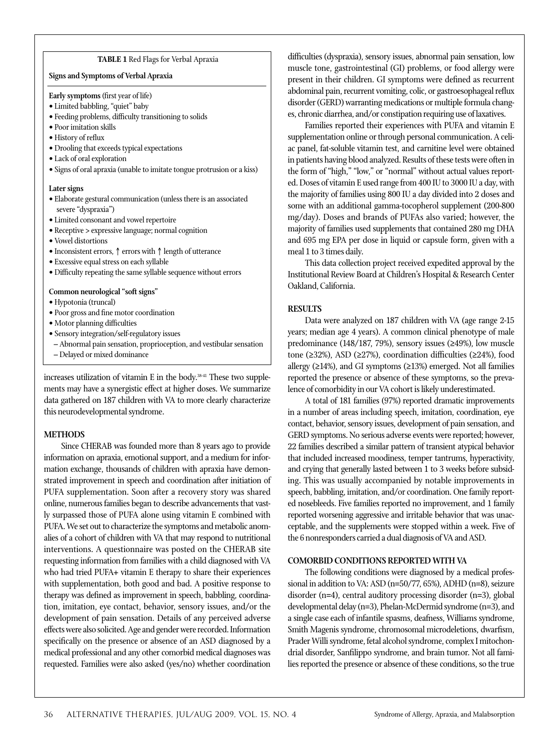### **TABLE 1** Red Flags for Verbal Apraxia

### **Signs and Symptoms of Verbal Apraxia**

Early symptoms (first year of life)

- Limited babbling, "quiet" baby
- Feeding problems, difficulty transitioning to solids
- Poor imitation skills
- History of reflux
- Drooling that exceeds typical expectations
- Lack of oral exploration
- Signs of oral apraxia (unable to imitate tongue protrusion or a kiss)

## **Later signs**

- Elaborate gestural communication (unless there is an associated severe "dyspraxia")
- Limited consonant and vowel repertoire
- Receptive > expressive language; normal cognition
- Vowel distortions
- Inconsistent errors, ↑ errors with ↑ length of utterance
- Excessive equal stress on each syllable
- Difficulty repeating the same syllable sequence without errors

## **Common neurological "soft signs"**

- Hypotonia (truncal)
- Poor gross and fine motor coordination
- Motor planning difficulties
- Sensory integration/self-regulatory issues
- Abnormal pain sensation, proprioception, and vestibular sensation
- Delayed or mixed dominance

increases utilization of vitamin E in the body.<sup>3841</sup> These two supplements may have a synergistic effect at higher doses. We summarize data gathered on 187 children with VA to more clearly characterize this neurodevelopmental syndrome.

## **METHODS**

Since CHERAB was founded more than 8 years ago to provide information on apraxia, emotional support, and a medium for information exchange, thousands of children with apraxia have demonstrated improvement in speech and coordination after initiation of PUFA supplementation. Soon after a recovery story was shared online, numerous families began to describe advancements that vastly surpassed those of PUFA alone using vitamin E combined with PUFA. We set out to characterize the symptoms and metabolic anomalies of a cohort of children with VA that may respond to nutritional interventions. A questionnaire was posted on the CHERAB site requesting information from families with a child diagnosed with VA who had tried PUFA+ vitamin E therapy to share their experiences with supplementation, both good and bad. A positive response to therapy was defined as improvement in speech, babbling, coordination, imitation, eye contact, behavior, sensory issues, and/or the development of pain sensation. Details of any perceived adverse effects were also solicited. Age and gender were recorded. Information specifically on the presence or absence of an ASD diagnosed by a medical professional and any other comorbid medical diagnoses was requested. Families were also asked (yes/no) whether coordination

difficulties (dyspraxia), sensory issues, abnormal pain sensation, low muscle tone, gastrointestinal (GI) problems, or food allergy were present in their children. GI symptoms were defined as recurrent abdominal pain, recurrent vomiting, colic, or gastroesophageal reflux disorder (GERD) warranting medications or multiple formula changes, chronic diarrhea, and/or constipation requiring use of laxatives.

Families reported their experiences with PUFA and vitamin E supplementation online or through personal communication. A celiac panel, fat-soluble vitamin test, and carnitine level were obtained in patients having blood analyzed. Results of these tests were often in the form of "high," "low," or "normal" without actual values reported. Doses of vitamin E used range from 400 IU to 3000 IU a day, with the majority of families using 800 IU a day divided into 2 doses and some with an additional gamma-tocopherol supplement (200-800 mg/day). Doses and brands of PUFAs also varied; however, the majority of families used supplements that contained 280 mg DHA and 695 mg EPA per dose in liquid or capsule form, given with a meal 1 to 3 times daily.

This data collection project received expedited approval by the Institutional Review Board at Children's Hospital & Research Center Oakland, California.

# **RESULTS**

Data were analyzed on 187 children with VA (age range 2-15 years; median age 4 years). A common clinical phenotype of male predominance (148/187, 79%), sensory issues (≥49%), low muscle tone (≥32%), ASD (≥27%), coordination difficulties (≥24%), food allergy (≥14%), and GI symptoms (≥13%) emerged. Not all families reported the presence or absence of these symptoms, so the prevalence of comorbidity in our VA cohort is likely underestimated.

A total of 181 families (97%) reported dramatic improvements in a number of areas including speech, imitation, coordination, eye contact, behavior, sensory issues, development of pain sensation, and GERD symptoms. No serious adverse events were reported; however, 22 families described a similar pattern of transient atypical behavior that included increased moodiness, temper tantrums, hyperactivity, and crying that generally lasted between 1 to 3 weeks before subsiding. This was usually accompanied by notable improvements in speech, babbling, imitation, and/or coordination. One family reported nosebleeds. Five families reported no improvement, and 1 family reported worsening aggressive and irritable behavior that was unacceptable, and the supplements were stopped within a week. Five of the 6 nonresponders carried a dual diagnosis of VA and ASD.

## **COMORBID CONDITIONS REPORTED WITH VA**

The following conditions were diagnosed by a medical professional in addition to VA: ASD (n=50/77, 65%), ADHD (n=8), seizure disorder (n=4), central auditory processing disorder (n=3), global developmental delay (n=3), Phelan-McDermid syndrome (n=3), and a single case each of infantile spasms, deafness, Williams syndrome, Smith Magenis syndrome, chromosomal microdeletions, dwarfism, Prader Willi syndrome, fetal alcohol syndrome, complex I mitochondrial disorder, Sanfilippo syndrome, and brain tumor. Not all families reported the presence or absence of these conditions, so the true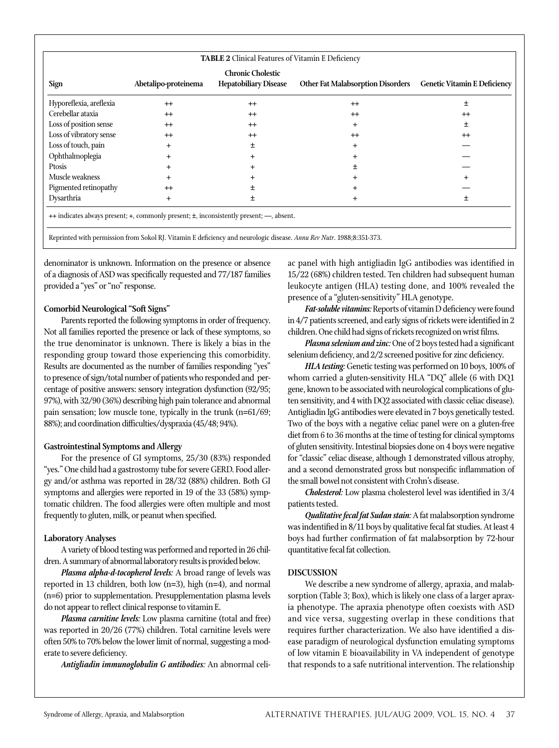| <b>TABLE 2</b> Clinical Features of Vitamin E Deficiency |                      |                                                          |                                          |                                     |  |
|----------------------------------------------------------|----------------------|----------------------------------------------------------|------------------------------------------|-------------------------------------|--|
| Sign                                                     | Abetalipo-proteinema | <b>Chronic Cholestic</b><br><b>Hepatobiliary Disease</b> | <b>Other Fat Malabsorption Disorders</b> | <b>Genetic Vitamin E Deficiency</b> |  |
| Hyporeflexia, areflexia                                  | $^{+}$               | $++$                                                     | $++$                                     | 土                                   |  |
| Cerebellar ataxia                                        | $^{+}$               | $^{+}$                                                   | $^{+}$                                   | $^{++}$                             |  |
| Loss of position sense                                   | $^{+}$               | $^{+}$                                                   | $\ddot{}$                                | 土                                   |  |
| Loss of vibratory sense                                  | $^{+}$               | $^{+}$                                                   | $^{+}$                                   | $^{++}$                             |  |
| Loss of touch, pain                                      |                      | ±                                                        | +                                        |                                     |  |
| Ophthalmoplegia                                          |                      | $\pm$                                                    |                                          |                                     |  |
| Ptosis                                                   |                      | $\pm$                                                    |                                          |                                     |  |
| Muscle weakness                                          |                      | $\pm$                                                    |                                          |                                     |  |
| Pigmented retinopathy                                    | $+$                  | 士                                                        |                                          |                                     |  |
| Dysarthria                                               | $^{+}$               | 士                                                        |                                          | 士                                   |  |

Reprinted with permission from Sokol RJ. Vitamin E deficiency and neurologic disease. *Annu Rev Nutr*. 1988;8:351-373.

denominator is unknown. Information on the presence or absence of a diagnosis of ASD was specifically requested and 77/187 families provided a "yes" or "no" response.

# **Comorbid Neurological "Soft Signs"**

Parents reported the following symptoms in order of frequency. Not all families reported the presence or lack of these symptoms, so the true denominator is unknown. There is likely a bias in the responding group toward those experiencing this comorbidity. Results are documented as the number of families responding "yes" to presence of sign/total number of patients who responded and percentage of positive answers: sensory integration dysfunction (92/95; 97%), with 32/90 (36%) describing high pain tolerance and abnormal pain sensation; low muscle tone, typically in the trunk (n=61/69; 88%); and coordination difficulties/dyspraxia (45/48; 94%).

# **Gastrointestinal Symptoms and Allergy**

For the presence of GI symptoms, 25/30 (83%) responded "yes." One child had a gastrostomy tube for severe GERD. Food allergy and/or asthma was reported in 28/32 (88%) children. Both GI symptoms and allergies were reported in 19 of the 33 (58%) symptomatic children. The food allergies were often multiple and most frequently to gluten, milk, or peanut when specified.

# **Laboratory Analyses**

A variety of blood testing was performed and reported in 26 children. A summary of abnormal laboratory results is provided below.

*Plasma alpha-d-tocopherol levels:* A broad range of levels was reported in 13 children, both low (n=3), high (n=4), and normal (n=6) prior to supplementation. Presupplementation plasma levels do not appear to reflect clinical response to vitamin E.

*Plasma carnitine levels:* Low plasma carnitine (total and free) was reported in 20/26 (77%) children. Total carnitine levels were often 50% to 70% below the lower limit of normal, suggesting a moderate to severe deficiency.

*Antigliadin immunoglobulin G antibodies:* An abnormal celi-

ac panel with high antigliadin IgG antibodies was identified in 15/22 (68%) children tested. Ten children had subsequent human leukocyte antigen (HLA) testing done, and 100% revealed the presence of a "gluten-sensitivity" HLA genotype.

Fat-soluble vitamins: Reports of vitamin D deficiency were found in  $4/7$  patients screened, and early signs of rickets were identified in  $2$ children. One child had signs of rickets recognized on wrist films.

Plasma selenium and zinc: One of 2 boys tested had a significant selenium deficiency, and 2/2 screened positive for zinc deficiency.

*HLA testing:*Genetic testing was performed on 10 boys, 100% of whom carried a gluten-sensitivity HLA "DQ" allele (6 with DQ1 gene, known to be associated with neurological complications of gluten sensitivity, and 4 with DQ2 associated with classic celiac disease). Antigliadin IgG antibodies were elevated in 7 boys genetically tested. Two of the boys with a negative celiac panel were on a gluten-free diet from 6 to 36 months at the time of testing for clinical symptoms of gluten sensitivity. Intestinal biopsies done on 4 boys were negative for "classic" celiac disease, although 1 demonstrated villous atrophy, and a second demonstrated gross but nonspecific inflammation of the small bowel not consistent with Crohn's disease.

*Cholesterol:* Low plasma cholesterol level was identified in 3/4 patients tested.

*Qualitative fecal fat Sudan stain:*A fat malabsorption syndrome was indentified in 8/11 boys by qualitative fecal fat studies. At least 4 boys had further confirmation of fat malabsorption by 72-hour quantitative fecal fat collection.

# **DISCUSSION**

We describe a new syndrome of allergy, apraxia, and malabsorption (Table 3; Box), which is likely one class of a larger apraxia phenotype. The apraxia phenotype often coexists with ASD and vice versa, suggesting overlap in these conditions that requires further characterization. We also have identified a disease paradigm of neurological dysfunction emulating symptoms of low vitamin E bioavailability in VA independent of genotype that responds to a safe nutritional intervention. The relationship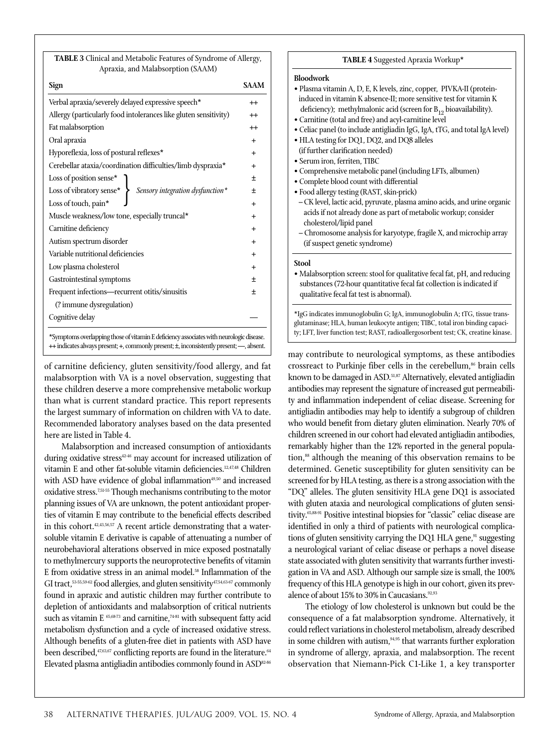| <b>TABLE 3</b> Clinical and Metabolic Features of Syndrome of Allergy, |
|------------------------------------------------------------------------|
| Apraxia, and Malabsorption (SAAM)                                      |

| Sign                                                                                                                                                                                | SAAM      |
|-------------------------------------------------------------------------------------------------------------------------------------------------------------------------------------|-----------|
| Verbal apraxia/severely delayed expressive speech*                                                                                                                                  | $^{++}$   |
| Allergy (particularly food intolerances like gluten sensitivity)                                                                                                                    | $^{++}$   |
| Fat malabsorption                                                                                                                                                                   | $^{++}$   |
| Oral apraxia                                                                                                                                                                        | $\ddot{}$ |
| Hyporeflexia, loss of postural reflexes*                                                                                                                                            | $^{+}$    |
| Cerebellar ataxia/coordination difficulties/limb dyspraxia*                                                                                                                         | $^{+}$    |
| Loss of position sense*                                                                                                                                                             | $\ddot{}$ |
| Sensory integration dysfunction $^\star$<br>Loss of vibratory sense* $\left\{\right.$                                                                                               | 士         |
| Loss of touch, pain*                                                                                                                                                                | $\ddot{}$ |
| Muscle weakness/low tone, especially truncal*                                                                                                                                       | $\ddot{}$ |
| Carnitine deficiency                                                                                                                                                                | $^{+}$    |
| Autism spectrum disorder                                                                                                                                                            | $\ddot{}$ |
| Variable nutritional deficiencies                                                                                                                                                   | $\ddot{}$ |
| Low plasma cholesterol                                                                                                                                                              | $^{+}$    |
| Gastrointestinal symptoms                                                                                                                                                           | $\ddot{}$ |
| Frequent infections-recurrent otitis/sinusitis                                                                                                                                      |           |
| (? immune dysregulation)                                                                                                                                                            |           |
| Cognitive delay                                                                                                                                                                     |           |
| *Symptoms overlapping those of vitamin E deficiency associates with neurologic disease.<br>++ indicates always present; +, commonly present; ±, inconsistently present; --, absent. |           |

of carnitine deficiency, gluten sensitivity/food allergy, and fat malabsorption with VA is a novel observation, suggesting that these children deserve a more comprehensive metabolic workup than what is current standard practice. This report represents the largest summary of information on children with VA to date. Recommended laboratory analyses based on the data presented here are listed in Table 4.

Malabsorption and increased consumption of antioxidants during oxidative stress<sup>42-46</sup> may account for increased utilization of vitamin E and other fat-soluble vitamin deficiencies.<sup>12,47,48</sup> Children with ASD have evidence of global inflammation $49,50$  and increased oxidative stress.7,51-55 Though mechanisms contributing to the motor planning issues of VA are unknown, the potent antioxidant properties of vitamin E may contribute to the beneficial effects described in this cohort.<sup>42,43,56,57</sup> A recent article demonstrating that a watersoluble vitamin E derivative is capable of attenuating a number of neurobehavioral alterations observed in mice exposed postnatally to methylmercury supports the neuroprotective benefits of vitamin E from oxidative stress in an animal model.<sup>58</sup> Inflammation of the GI tract,<sup>53-55,59-62</sup> food allergies, and gluten sensitivity<sup>47,54,63-67</sup> commonly found in apraxic and autistic children may further contribute to depletion of antioxidants and malabsorption of critical nutrients such as vitamin E  $65,6873$  and carnitine,  $74-81$  with subsequent fatty acid metabolism dysfunction and a cycle of increased oxidative stress. Although benefits of a gluten-free diet in patients with ASD have been described, $47,63,67$  conflicting reports are found in the literature.<sup>64</sup> Elevated plasma antigliadin antibodies commonly found in ASD82-86

#### **TABLE 4** Suggested Apraxia Workup\*

#### **Bloodwork**

- Plasma vitamin A, D, E, K levels, zinc, copper, PIVKA-II (proteininduced in vitamin K absence-II; more sensitive test for vitamin K deficiency); methylmalonic acid (screen for  $B_{12}$  bioavailability).
- Carnitine (total and free) and acyl-carnitine level
- Celiac panel (to include antigliadin IgG, IgA, tTG, and total IgA level)
- HLA testing for DQ1, DQ2, and DQ8 alleles (if further clarification needed)
- Serum iron, ferriten, TIBC
- Comprehensive metabolic panel (including LFTs, albumen)
- Complete blood count with differential
- Food allergy testing (RAST, skin-prick)
- CK level, lactic acid, pyruvate, plasma amino acids, and urine organic acids if not already done as part of metabolic workup; consider cholesterol/lipid panel
- Chromosome analysis for karyotype, fragile X, and microchip array (if suspect genetic syndrome)

#### **Stool**

• Malabsorption screen: stool for qualitative fecal fat, pH, and reducing substances (72-hour quantitative fecal fat collection is indicated if qualitative fecal fat test is abnormal).

\*IgG indicates immunoglobulin G; IgA, immunoglobulin A; tTG, tissue transglutaminase; HLA, human leukocyte antigen; TIBC, total iron binding capacity; LFT, liver function test; RAST, radioallergosorbent test; CK, creatine kinase.

may contribute to neurological symptoms, as these antibodies crossreact to Purkinje fiber cells in the cerebellum, $86$  brain cells known to be damaged in ASD.<sup>51,87</sup> Alternatively, elevated antigliadin antibodies may represent the signature of increased gut permeability and inflammation independent of celiac disease. Screening for antigliadin antibodies may help to identify a subgroup of children who would benefit from dietary gluten elimination. Nearly 70% of children screened in our cohort had elevated antigliadin antibodies, remarkably higher than the 12% reported in the general population,<sup>88</sup> although the meaning of this observation remains to be determined. Genetic susceptibility for gluten sensitivity can be screened for by HLA testing, as there is a strong association with the "DQ" alleles. The gluten sensitivity HLA gene DQ1 is associated with gluten ataxia and neurological complications of gluten sensitivity.65,88-91 Positive intestinal biopsies for "classic" celiac disease are identified in only a third of patients with neurological complications of gluten sensitivity carrying the DQ1 HLA gene, $91$  suggesting a neurological variant of celiac disease or perhaps a novel disease state associated with gluten sensitivity that warrants further investigation in VA and ASD. Although our sample size is small, the 100% frequency of this HLA genotype is high in our cohort, given its prevalence of about 15% to 30% in Caucasians.<sup>92,93</sup>

The etiology of low cholesterol is unknown but could be the consequence of a fat malabsorption syndrome. Alternatively, it could reflect variations in cholesterol metabolism, already described in some children with autism, $94,95$  that warrants further exploration in syndrome of allergy, apraxia, and malabsorption. The recent observation that Niemann-Pick C1-Like 1, a key transporter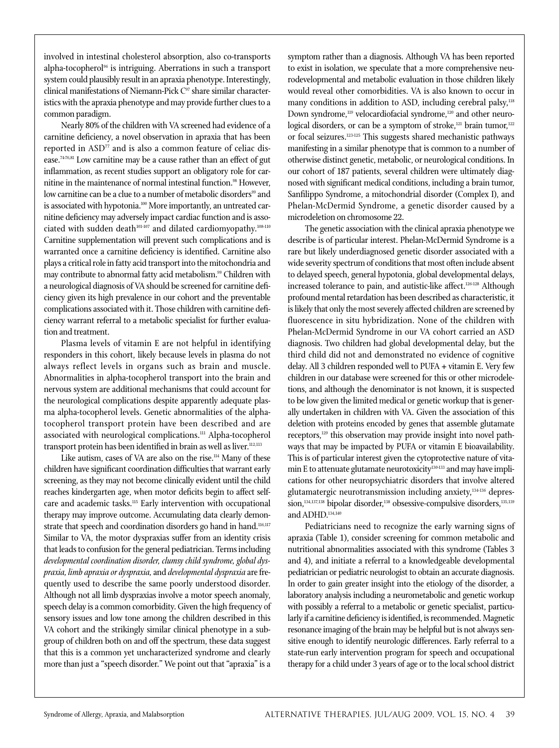involved in intestinal cholesterol absorption, also co-transports alpha-tocopherol<sup>96</sup> is intriguing. Aberrations in such a transport system could plausibly result in an apraxia phenotype. Interestingly, clinical manifestations of Niemann-Pick C<sup>97</sup> share similar characteristics with the apraxia phenotype and may provide further clues to a common paradigm.

Nearly 80% of the children with VA screened had evidence of a carnitine deficiency, a novel observation in apraxia that has been reported in ASD<sup>77</sup> and is also a common feature of celiac disease.<sup>7476,81</sup> Low carnitine may be a cause rather than an effect of gut inflammation, as recent studies support an obligatory role for carnitine in the maintenance of normal intestinal function.<sup>98</sup> However, low carnitine can be a clue to a number of metabolic disorders<sup>99</sup> and is associated with hypotonia.<sup>100</sup> More importantly, an untreated carnitine deficiency may adversely impact cardiac function and is associated with sudden death<sup>101-107</sup> and dilated cardiomyopathy.<sup>108-110</sup> Carnitine supplementation will prevent such complications and is warranted once a carnitine deficiency is identified. Carnitine also plays a critical role in fatty acid transport into the mitochondria and may contribute to abnormal fatty acid metabolism.<sup>99</sup> Children with a neurological diagnosis of VA should be screened for carnitine deficiency given its high prevalence in our cohort and the preventable complications associated with it. Those children with carnitine deficiency warrant referral to a metabolic specialist for further evaluation and treatment.

Plasma levels of vitamin E are not helpful in identifying responders in this cohort, likely because levels in plasma do not always reflect levels in organs such as brain and muscle. Abnormalities in alpha-tocopherol transport into the brain and nervous system are additional mechanisms that could account for the neurological complications despite apparently adequate plasma alpha-tocopherol levels. Genetic abnormalities of the alphatocopherol transport protein have been described and are associated with neurological complications.<sup>111</sup> Alpha-tocopherol transport protein has been identified in brain as well as liver.<sup>112,113</sup>

Like autism, cases of VA are also on the rise.<sup>114</sup> Many of these children have significant coordination difficulties that warrant early screening, as they may not become clinically evident until the child reaches kindergarten age, when motor deficits begin to affect selfcare and academic tasks.<sup>115</sup> Early intervention with occupational therapy may improve outcome. Accumulating data clearly demonstrate that speech and coordination disorders go hand in hand.<sup>116,117</sup> Similar to VA, the motor dyspraxias suffer from an identity crisis that leads to confusion for the general pediatrician. Terms including *developmental coordination disorder, clumsy child syndrome, global dyspraxia, limb apraxia or dyspraxia,* and *developmental dyspraxia* are frequently used to describe the same poorly understood disorder. Although not all limb dyspraxias involve a motor speech anomaly, speech delay is a common comorbidity. Given the high frequency of sensory issues and low tone among the children described in this VA cohort and the strikingly similar clinical phenotype in a subgroup of children both on and off the spectrum, these data suggest that this is a common yet uncharacterized syndrome and clearly more than just a "speech disorder." We point out that "apraxia" is a

symptom rather than a diagnosis. Although VA has been reported to exist in isolation, we speculate that a more comprehensive neurodevelopmental and metabolic evaluation in those children likely would reveal other comorbidities. VA is also known to occur in many conditions in addition to ASD, including cerebral palsy,<sup>118</sup> Down syndrome,<sup>119</sup> velocardiofacial syndrome,<sup>120</sup> and other neurological disorders, or can be a symptom of stroke,<sup>121</sup> brain tumor,<sup>122</sup> or focal seizures.123-125 This suggests shared mechanistic pathways manifesting in a similar phenotype that is common to a number of otherwise distinct genetic, metabolic, or neurological conditions. In our cohort of 187 patients, several children were ultimately diagnosed with significant medical conditions, including a brain tumor, Sanfilippo Syndrome, a mitochondrial disorder (Complex I), and Phelan-McDermid Syndrome, a genetic disorder caused by a microdeletion on chromosome 22.

The genetic association with the clinical apraxia phenotype we describe is of particular interest. Phelan-McDermid Syndrome is a rare but likely underdiagnosed genetic disorder associated with a wide severity spectrum of conditions that most often include absent to delayed speech, general hypotonia, global developmental delays, increased tolerance to pain, and autistic-like affect.<sup>126-128</sup> Although profound mental retardation has been described as characteristic, it is likely that only the most severely affected children are screened by fluorescence in situ hybridization. None of the children with Phelan-McDermid Syndrome in our VA cohort carried an ASD diagnosis. Two children had global developmental delay, but the third child did not and demonstrated no evidence of cognitive delay. All 3 children responded well to PUFA + vitamin E. Very few children in our database were screened for this or other microdeletions, and although the denominator is not known, it is suspected to be low given the limited medical or genetic workup that is generally undertaken in children with VA. Given the association of this deletion with proteins encoded by genes that assemble glutamate receptors,<sup>129</sup> this observation may provide insight into novel pathways that may be impacted by PUFA or vitamin E bioavailability. This is of particular interest given the cytoprotective nature of vitamin E to attenuate glutamate neurotoxicity<sup>130-133</sup> and may have implications for other neuropsychiatric disorders that involve altered glutamatergic neurotransmission including anxiety,<sup>134-136</sup> depression,<sup>134,137,138</sup> bipolar disorder,<sup>138</sup> obsessive-compulsive disorders,<sup>135,139</sup> and ADHD. $134,140$ 

Pediatricians need to recognize the early warning signs of apraxia (Table 1), consider screening for common metabolic and nutritional abnormalities associated with this syndrome (Tables 3 and 4), and initiate a referral to a knowledgeable developmental pediatrician or pediatric neurologist to obtain an accurate diagnosis. In order to gain greater insight into the etiology of the disorder, a laboratory analysis including a neurometabolic and genetic workup with possibly a referral to a metabolic or genetic specialist, particularly if a carnitine deficiency is identified, is recommended. Magnetic resonance imaging of the brain may be helpful but is not always sensitive enough to identify neurologic differences. Early referral to a state-run early intervention program for speech and occupational therapy for a child under 3 years of age or to the local school district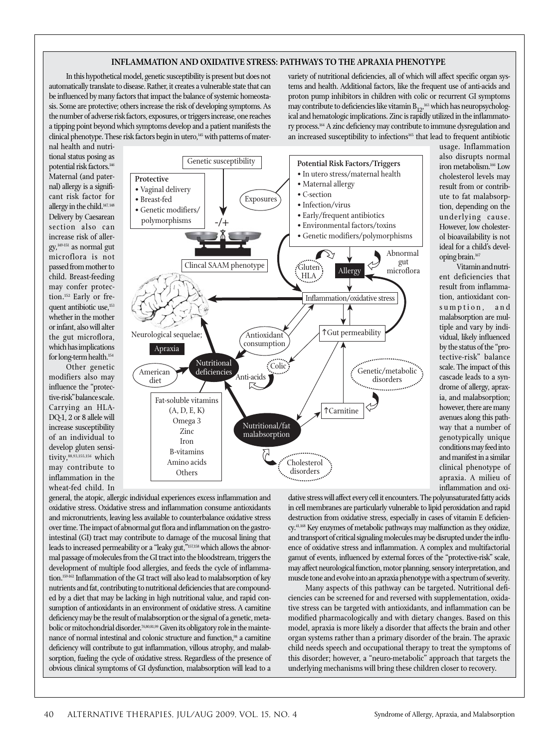## **INFLAMMATION AND OXIDATIVE STRESS: PATHWAYS TO THE APRAXIA PHENOTYPE**

In this hypothetical model, genetic susceptibility is present but does not automatically translate to disease. Rather, it creates a vulnerable state that can be influenced by many factors that impact the balance of systemic homeostasis. Some are protective; others increase the risk of developing symptoms. As the number of adverse risk factors, exposures, or triggers increase, one reaches a tipping point beyond which symptoms develop and a patient manifests the clinical phenotype. These risk factors begin in utero,<sup>145</sup> with patterns of matervariety of nutritional deficiencies, all of which will affect specific organ systems and health. Additional factors, like the frequent use of anti-acids and proton pump inhibitors in children with colic or recurrent GI symptoms may contribute to deficiencies like vitamin  $B_{12}$ ,  $^{163}$  which has neuropsychological and hematologic implications. Zinc is rapidly utilized in the inflammatory process.<sup>164</sup> A zinc deficiency may contribute to immune dysregulation and an increased susceptibility to infections<sup>165</sup> that lead to frequent antibiotic

nal health and nutritional status posing as potential risk factors.146 Maternal (and paternal) allergy is a significant risk factor for allergy in the child.<sup>147, 148</sup> Delivery by Caesarean section also can increase risk of allergy,149-151 as normal gut microflora is not passed from mother to child. Breast-feeding may confer protection.<sup>152</sup> Early or frequent antibiotic use,<sup>153</sup> whether in the mother or infant, also will alter the gut microflora, which has implications for long-term health.<sup>154</sup>

Other genetic modifiers also may influence the "protective-risk" balance scale. Carrying an HLA-DQ-1, 2 or 8 allele will increase susceptibility of an individual to develop gluten sensitivity,<sup>88,93,155,156</sup> which may contribute to inflammation in the wheat-fed child. In



usage. Inflammation also disrupts normal iron metabolism.166 Low cholesterol levels may result from or contribute to fat malabsorption, depending on the underlying cause. However, low cholesterol bioavailability is not ideal for a child's developing brain.167

Vitamin and nutrient deficiencies that result from inflammation, antioxidant consumption, and malabsorption are multiple and vary by individual, likely influenced by the status of the "protective-risk" balance scale. The impact of this cascade leads to a syndrome of allergy, apraxia, and malabsorption; however, there are many avenues along this pathway that a number of genotypically unique conditions may feed into and manifest in a similar clinical phenotype of apraxia. A milieu of inflammation and oxi-

general, the atopic, allergic individual experiences excess inflammation and oxidative stress. Oxidative stress and inflammation consume antioxidants and micronutrients, leaving less available to counterbalance oxidative stress over time. The impact of abnormal gut flora and inflammation on the gastrointestinal (GI) tract may contribute to damage of the mucosal lining that leads to increased permeability or a "leaky gut,"157,158 which allows the abnormal passage of molecules from the GI tract into the bloodstream, triggers the development of multiple food allergies, and feeds the cycle of inflammation.<sup>159-162</sup> Inflammation of the GI tract will also lead to malabsorption of key nutrients and fat, contributing to nutritional deficiencies that are compounded by a diet that may be lacking in high nutritional value, and rapid consumption of antioxidants in an environment of oxidative stress. A carnitine deficiency may be the result of malabsorption or the signal of a genetic, metabolic or mitochondrial disorder.<sup>76,80,81,99</sup> Given its obligatory role in the maintenance of normal intestinal and colonic structure and function,<sup>98</sup> a carnitine deficiency will contribute to gut inflammation, villous atrophy, and malabsorption, fueling the cycle of oxidative stress. Regardless of the presence of obvious clinical symptoms of GI dysfunction, malabsorption will lead to a

dative stress will affect every cell it encounters. The polyunsaturated fatty acids in cell membranes are particularly vulnerable to lipid peroxidation and rapid destruction from oxidative stress, especially in cases of vitamin E deficiency.41,168 Key enzymes of metabolic pathways may malfunction as they oxidize, and transport of critical signaling molecules may be disrupted under the influence of oxidative stress and inflammation. A complex and multifactorial gamut of events, influenced by external forces of the "protective-risk" scale, may affect neurological function, motor planning, sensory interpretation, and muscle tone and evolve into an apraxia phenotype with a spectrum of severity.

Many aspects of this pathway can be targeted. Nutritional deficiencies can be screened for and reversed with supplementation, oxidative stress can be targeted with antioxidants, and inflammation can be modified pharmacologically and with dietary changes. Based on this model, apraxia is more likely a disorder that affects the brain and other organ systems rather than a primary disorder of the brain. The apraxic child needs speech and occupational therapy to treat the symptoms of this disorder; however, a "neuro-metabolic" approach that targets the underlying mechanisms will bring these children closer to recovery.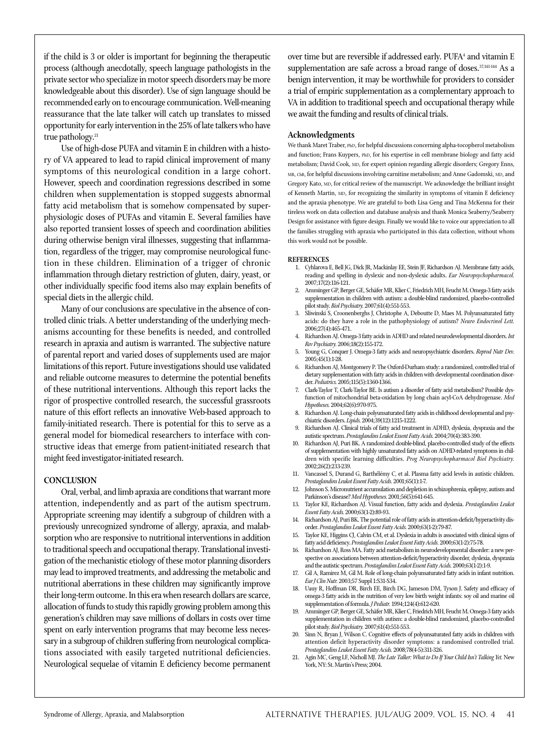if the child is 3 or older is important for beginning the therapeutic process (although anecdotally, speech language pathologists in the private sector who specialize in motor speech disorders may be more knowledgeable about this disorder). Use of sign language should be recommended early on to encourage communication. Well-meaning reassurance that the late talker will catch up translates to missed opportunity for early intervention in the 25% of late talkers who have true pathology.<sup>21</sup>

Use of high-dose PUFA and vitamin E in children with a history of VA appeared to lead to rapid clinical improvement of many symptoms of this neurological condition in a large cohort. However, speech and coordination regressions described in some children when supplementation is stopped suggests abnormal fatty acid metabolism that is somehow compensated by superphysiologic doses of PUFAs and vitamin E. Several families have also reported transient losses of speech and coordination abilities during otherwise benign viral illnesses, suggesting that inflammation, regardless of the trigger, may compromise neurological function in these children. Elimination of a trigger of chronic inflammation through dietary restriction of gluten, dairy, yeast, or other individually specific food items also may explain benefits of special diets in the allergic child.

Many of our conclusions are speculative in the absence of controlled clinic trials. A better understanding of the underlying mechanisms accounting for these benefits is needed, and controlled research in apraxia and autism is warranted. The subjective nature of parental report and varied doses of supplements used are major limitations of this report. Future investigations should use validated and reliable outcome measures to determine the potential benefits of these nutritional interventions. Although this report lacks the rigor of prospective controlled research, the successful grassroots nature of this effort reflects an innovative Web-based approach to family-initiated research. There is potential for this to serve as a general model for biomedical researchers to interface with constructive ideas that emerge from patient-initiated research that might feed investigator-initiated research.

### **CONCLUSION**

Oral, verbal, and limb apraxia are conditions that warrant more attention, independently and as part of the autism spectrum. Appropriate screening may identify a subgroup of children with a previously unrecognized syndrome of allergy, apraxia, and malabsorption who are responsive to nutritional interventions in addition to traditional speech and occupational therapy. Translational investigation of the mechanistic etiology of these motor planning disorders may lead to improved treatments, and addressing the metabolic and nutritional aberrations in these children may significantly improve their long-term outcome. In this era when research dollars are scarce, allocation of funds to study this rapidly growing problem among this generation's children may save millions of dollars in costs over time spent on early intervention programs that may become less necessary in a subgroup of children suffering from neurological complications associated with easily targeted nutritional deficiencies. Neurological sequelae of vitamin E deficiency become permanent

over time but are reversible if addressed early.  $PUFA<sup>4</sup>$  and vitamin  $E$ supplementation are safe across a broad range of doses.<sup>37,141-144</sup> As a benign intervention, it may be worthwhile for providers to consider a trial of empiric supplementation as a complementary approach to VA in addition to traditional speech and occupational therapy while we await the funding and results of clinical trials.

#### **Acknowledgments**

 $\,$  We thank Maret Traber,  $_{\rm PhD,}$  for helpful discussions concerning alpha-tocopherol metabolism and function; Frans Kuypers, PhD, for his expertise in cell membrane biology and fatty acid metabolism; David Cook, MD, for expert opinion regarding allergic disorders; Gregory Enns, MB, ChB, for helpful discussions involving carnitine metabolism; and Anne Gadomski, MD, and Gregory Kato, MD, for critical review of the manuscript. We acknowledge the brilliant insight of Kenneth Martin, MD, for recognizing the similarity in symptoms of vitamin E deficiency and the apraxia phenotype. We are grateful to both Lisa Geng and Tina McKenna for their tireless work on data collection and database analysis and thank Monica Seaberry/Seaberry Design for assistance with figure design. Finally we would like to voice our appreciation to all the families struggling with apraxia who participated in this data collection, without whom this work would not be possible.

#### **REFERENCES**

- 1. Cyhlarova E, Bell JG, Dick JR, Mackinlay EE, Stein JF, Richardson AJ. Membrane fatty acids, reading and spelling in dyslexic and non-dyslexic adults. *Eur Neuropsychopharmacol.* 2007;17(2):116-121.
- 2. Amminger GP, Berger GE, Schäfer MR, Klier C, Friedrich MH, Feucht M. Omega-3 fatty acids supplementation in children with autism: a double-blind randomized, placebo-controlled pilot study. *Biol Psychiatry.* 2007;61(4):551-553.
- 3. Sliwinski S, Croonenberghs J, Christophe A, Deboutte D, Maes M. Polyunsaturated fatty acids: do they have a role in the pathophysiology of autism? *Neuro Endocrinol Lett.* 2006;27(4):465-471.
- 4. Richardson AJ. Omega-3 fatty acids in ADHD and related neurodevelopmental disorders. *Int Rev Psychiatry.* 2006;18(2):155-172.
- 5. Young G, Conquer J. Omega-3 fatty acids and neuropsychiatric disorders. *Reprod Nutr Dev.* 2005;45(1):1-28.
- 6. Richardson AJ, Montgomery P. The Oxford-Durham study: a randomized, controlled trial of dietary supplementation with fatty acids in children with developmental coordination disorder. *Pediatrics.* 2005;115(5):1360-1366.
- 7. Clark-Taylor T, Clark-Taylor BE. Is autism a disorder of fatty acid metabolism? Possible dysfunction of mitochondrial beta-oxidation by long chain acyl-CoA dehydrogenase. *Med Hypotheses.* 2004;62(6):970-975.
- 8. Richardson AJ. Long-chain polyunsaturated fatty acids in childhood developmental and psychiatric disorders. *Lipids.* 2004;39(12):1215-1222.
- 9. Richardson AJ. Clinical trials of fatty acid treatment in ADHD, dyslexia, dyspraxia and the autistic spectrum. *Prostaglandins Leukot Essent Fatty Acids.* 2004;70(4):383-390.
- Richardson AJ, Puri BK. A randomized double-blind, placebo-controlled study of the effects of supplementation with highly unsaturated fatty acids on ADHD-related symptoms in children with specific learning difficulties. *Prog Neuropsychopharmacol Biol Psychiatry.* 2002;26(2):233-239.
- 11. Vancassel S, Durand G, Barthélémy C, et al. Plasma fatty acid levels in autistic children. *Prostaglandins Leukot Essent Fatty Acids.* 2001;65(1):1-7.
- 12. Johnson S. Micronutrient accumulation and depletion in schizophrenia, epilepsy, autism and Parkinson's disease? *Med Hypotheses.* 2001;56(5):641-645.
- 13. Taylor KE, Richardson AJ. Visual function, fatty acids and dyslexia. *Prostaglandins Leukot Essent Fatty Acids.* 2000;63(1-2):89-93.
- 14. Richardson AJ, Puri BK. The potential role of fatty acids in attention-deficit/hyperactivity disorder. *Prostaglandins Leukot Essent Fatty Acids.* 2000;63(1-2):79-87.
- 15. Taylor KE, Higgins CJ, Calvin CM, et al. Dyslexia in adults is associated with clinical signs of fatty acid deficiency. Prostaglandins Leukot Essent Fatty Acids. 2000;63(1-2):75-78
- 16. Richardson AJ, Ross MA. Fatty acid metabolism in neurodevelopmental disorder: a new perspective on associations between attention-deficit/hyperactivity disorder, dyslexia, dyspraxia and the autistic spectrum. *Prostaglandins Leukot Essent Fatty Acids.* 2000;63(1-2):1-9.
- 17. Gil A, Ramirez M, Gil M. Role of long-chain polyunsaturated fatty acids in infant nutrition. *Eur J Clin Nutr.* 2003;57 Suppl 1:S31-S34.
- 18. Uauy R, Hoffman DR, Birch EE, Birch DG, Jameson DM, Tyson J. Safety and efficacy of omega-3 fatty acids in the nutrition of very low birth weight infants: soy oil and marine oil supplementation of formula. *J Pediatr.* 1994;124(4):612-620.
- 19. Amminger GP, Berger GE, Schäfer MR, Klier C, Friedrich MH, Feucht M. Omega-3 fatty acids supplementation in children with autism: a double-blind randomized, placebo-controlled pilot study. *Biol Psychiatry.* 2007;61(4):551-553.
- 20. Sinn N, Bryan J, Wilson C. Cognitive effects of polyunsaturated fatty acids in children with attention deficit hyperactivity disorder symptoms: a randomised controlled trial. *Prostaglandins Leukot Essent Fatty Acids.* 2008;78(4-5):311-326.
- 21. Agin MC, Geng LF, Nicholl MJ. *The Late Talker: What to Do If Your Child Isn't Talking Yet.* New York, NY: St. Martin's Press; 2004.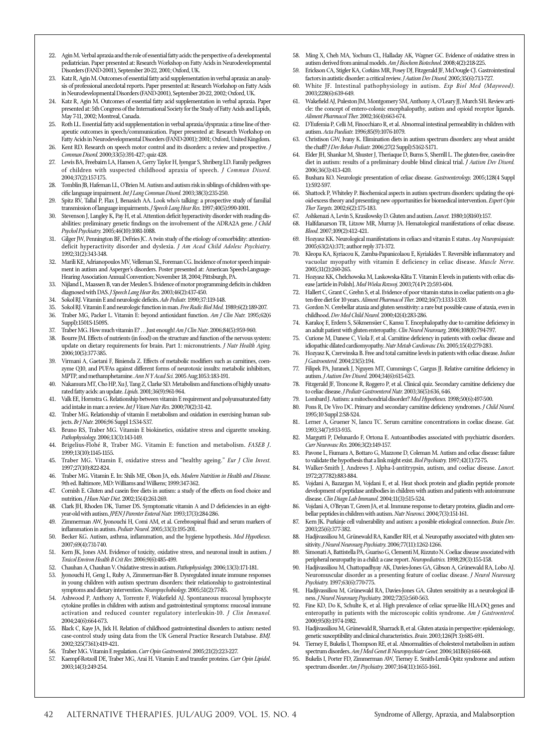- 22. Agin M. Verbal apraxia and the role of essential fatty acids: the perspective of a developmental pediatrician. Paper presented at: Research Workshop on Fatty Acids in Neurodevelopmental Disorders (FAND-2001), September 20-22, 2001; Oxford, UK.
- 23. Katz R, Agin M. Outcomes of essential fatty acid supplementation in verbal apraxia: an analysis of professional anecdotal reports. Paper presented at: Research Workshop on Fatty Acids in Neurodevelopmental Disorders (FAND-2001), September 20-22, 2002; Oxford, UK.
- 24. Katz R, Agin M. Outcomes of essential fatty acid supplementation in verbal apraxia. Paper presented at: 5th Congress of the International Society for the Study of Fatty Acids and Lipids, May 7-11, 2002; Montreal, Canada.
- 25. Roth LL. Essential fatty acid supplementation in verbal apraxia/dyspraxia: a time line of therapeutic outcomes in speech/communication. Paper presented at: Research Workshop on Fatty Acids in Neurodevelopmental Disorders (FAND-2001); 2001; Oxford, United Kingdom.
- 26. Kent RD. Research on speech motor control and its disorders: a review and prospective. *J Commun Disord.* 2000;33(5):391-427; quiz 428.
- 27. Lewis BA, Freebairn LA, Hansen A, Gerry Taylor H, Iyengar S, Shriberg LD. Family pedigrees of children with suspected childhood apraxia of speech. *J Commun Disord.*  2004;37(2):157-175.
- 28. Tomblin JB, Hafeman LL, O'Brien M. Autism and autism risk in siblings of children with specific language impairment. *Int J Lang Commun Disord.* 2003;38(3):235-250.
- 29. Spitz RV, Tallal P, Flax J, Benasich AA. Look who's talking: a prospective study of familial transmission of language impairments. *J Speech Lang Hear Res.* 1997;40(5):990-1001.
- 30. Stevenson J, Langley K, Pay H, et al. Attention deficit hyperactivity disorder with reading disabilities: preliminary genetic findings on the involvement of the ADRA2A gene. *J Child Psychol Psychiatry.* 2005;46(10):1081-1088.
- 31. Gilger JW, Pennington BF, DeFries JC. A twin study of the etiology of comorbidity: attentiondeficit hyperactivity disorder and dyslexia. *J Am Acad Child Adolesc Psychiatry.* 1992;31(2):343-348.
- 32. Marili KE, Adrianopoulos MV, Velleman SL, Foreman CG. Incidence of motor speech impairment in autism and Asperger's disorders. Poster presented at: American Speech-Language-Hearing Association Annual Convention; November 18, 2004; Pittsburgh, PA.
- 33. Nijland L, Maassen B, van der Meulen S. Evidence of motor programming deficits in children diagnosed with DAS. *J Speech Lang Hear Res.* 2003;46(2):437-450.
- 34. Sokol RJ. Vitamin E and neurologic defi cits. *Adv Pediatr.* 1990;37:119-148.
- 35. Sokol RJ. Vitamin E and neurologic function in man. *Free Radic Biol Med.* 1989;6(2):189-207.
- 36. Traber MG, Packer L. Vitamin E: beyond antioxidant function. *Am J Clin Nutr.* 1995;62(6 Suppl):1501S-1509S.
- 37. Traber MG. How much vitamin E? . . Just enough! *Am J Clin Nutr*. 2006;84(5):959-960.<br>38. Bourre IM Effects of nutrients (in food) on the structure and function of the nervous sy
- 38. Bourre JM. Effects of nutrients (in food) on the structure and function of the nervous system: update on dietary requirements for brain. Part 1: micronutrients. *J Nutr Health Aging.* 2006;10(5):377-385.
- 39. Virmani A, Gaetani F, Binienda Z. Effects of metabolic modifiers such as carnitines, coenzyme Q10, and PUFAs against different forms of neurotoxic insults: metabolic inhibitors, MPTP, and methamphetamine. *Ann N Y Acad Sci.* 2005 Aug;1053:183-191.
- 40. Nakamura MT, Cho HP, Xu J, Tang Z, Clarke SD. Metabolism and functions of highly unsaturated fatty acids: an update. *Lipids.* 2001;36(9):961-964.
- 41. Valk EE, Hornstra G. Relationship between vitamin E requirement and polyunsaturated fatty acid intake in man: a review. *Int J Vitam Nutr Res.* 2000;70(2):31-42.
- 42. Traber MG. Relationship of vitamin E metabolism and oxidation in exercising human subjects. *Br J Nutr.* 2006;96 Suppl 1:S34-S37.
- 43. Bruno RS, Traber MG. Vitamin E biokinetics, oxidative stress and cigarette smoking. *Pathophysiology.* 2006;13(3):143-149.
- 44. Brigelius-Flohé R, Traber MG. Vitamin E: function and metabolism. *FASEB J*. 1999;13(10):1145-1155.
- 45. Traber MG. Vitamin E, oxidative stress and "healthy ageing." *Eur J Clin Invest.* 1997;27(10):822-824.
- 46. Traber MG. Vitamin E. In: Shils ME, Olson JA, eds. *Modern Nutrition in Health and Disease.*  9th ed. Baltimore, MD: Williams and Wilkens; 1999:347-362.
- 47. Cornish E. Gluten and casein free diets in autism: a study of the effects on food choice and nutrition. *J Hum Nutr Diet.* 2002;15(4):261-269.
- 48. Clark JH, Rhoden DK, Turner DS. Symptomatic vitamin A and D defi ciencies in an eight-year-old with autism. *JPEN J Parenter Enteral Nutr.* 1993;17(3):284-286.
- 49. Zimmerman AW, Jyonouchi H, Comi AM, et al. Cerebrospinal fluid and serum markers of inflammation in autism. *Pediatr Neurol*. 2005;33(3):195-201.
- 50. Becker KG. Autism, asthma, inflammation, and the hygiene hypothesis. *Med Hypotheses*. 2007;69(4):731-740.
- 51. Kern JK, Jones AM. Evidence of toxicity, oxidative stress, and neuronal insult in autism. *J Toxicol Environ Health B Crit Rev.* 2006;9(6):485-499.
- 52. Chauhan A, Chauhan V. Oxidative stress in autism. *Pathophysiology.* 2006;13(3):171-181.
- 53. Jyonouchi H, Geng L, Ruby A, Zimmerman-Bier B. Dysregulated innate immune responses in young children with autism spectrum disorders: their relationship to gastrointestinal symptoms and dietary intervention. *Neuropsychobiology.* 2005;51(2):77-85.
- 54. Ashwood P, Anthony A, Torrente F, Wakefield AJ. Spontaneous mucosal lymphocyte cytokine profiles in children with autism and gastrointestinal symptoms: mucosal immune activation and reduced counter regulatory interleukin-10. *J Clin Immunol.* 2004;24(6):664-673.
- 55. Black C, Kaye JA, Jick H. Relation of childhood gastrointestinal disorders to autism: nested case-control study using data from the UK General Practice Research Database. *BMJ.* 2002;325(7361):419-421.
- 56. Traber MG. Vitamin E regulation. *Curr Opin Gastroenterol.* 2005;21(2):223-227.
- 57. Kaempf-Rotzoll DE, Traber MG, Arai H. Vitamin E and transfer proteins. *Curr Opin Lipidol*. 2003;14(3):249-254.
- 58. Ming X, Cheh MA, Yochum CL, Halladay AK, Wagner GC. Evidence of oxidative stress in autism derived from animal models. *Am J Biochem Biotechnol.* 2008;4(2):218-225.
- 59. Erickson CA, Stigler KA, Corkins MR, Posey DJ, Fitzgerald JF, McDougle CJ. Gastrointestinal factors in autistic disorder: a critical review. *J Autism Dev Disord.* 2005;35(6):713-727. 60. White JF. Intestinal pathophysiology in autism. *Exp Biol Med (Maywood).*
- 2003;228(6):639-649. 61. Wakefield AJ, Puleston JM, Montgomery SM, Anthony A, O'Leary JJ, Murch SH. Review arti-
- cle: the concept of entero-colonic encephalopathy, autism and opioid receptor ligands. *Aliment Pharmacol Ther.* 2002;16(4):663-674.
- 62. D'Eufemia P, Celli M, Finocchiaro R, et al. Abnormal intestinal permeability in children with autism. *Acta Paediatr.* 1996;85(9):1076-1079.
- 63. Christison GW, Ivany K. Elimination diets in autism spectrum disorders: any wheat amidst the chaff? *J Dev Behav Pediatr.* 2006;27(2 Suppl):S162-S171.
- Elder JH, Shankar M, Shuster J, Theriaque D, Burns S, Sherrill L. The gluten-free, casein-free diet in autism: results of a preliminary double blind clinical trial. *J Autism Dev Disord.* 2006;36(3):413-420.
- 65. Bushara KO. Neurologic presentation of celiac disease. *Gastroenterology.* 2005;128(4 Suppl 1):S92-S97.
- 66. Shattock P, Whiteley P. Biochemical aspects in autism spectrum disorders: updating the opioid-excess theory and presenting new opportunities for biomedical intervention. *Expert Opin Ther Targets.* 2002;6(2):175-183.
- 67. Ashkenazi A, Levin S, Krasilowsky D. Gluten and autism. *Lancet.* 1980;1(8160):157.
- 68. Halfdanarson TR, Litzow MR, Murray JA. Hematological manifestations of celiac disease. *Blood.* 2007;109(2):412-421.
- 69. Hozyasz KK. Neurological manifestations in celiacs and vitamin E status. *Arq Neuropsiquiatr.*  2005;63(2A):371; author reply 371-372.
- Kleopa KA, Kyriacou K, Zamba-Papanicolaou E, Kyriakides T. Reversible inflammatory and vacuolar myopathy with vitamin E deficiency in celiac disease. *Muscle Nerve.* 2005;31(2):260-265.
- 71. Hozyasz KK, Chelchowska M, Laskowska-Klita T. Vitamin E levels in patients with celiac disease [article in Polish]. *Med Wieku Rozwoj.* 2003;7(4 Pt 2):593-604.
- 72. Hallert C, Grant C, Grehn S, et al. Evidence of poor vitamin status in coeliac patients on a gluten-free diet for 10 years. *Aliment Pharmacol Ther.* 2002;16(7):1333-1339.
- 73. Gordon N. Cerebellar ataxia and gluten sensitivity: a rare but possible cause of ataxia, even in childhood. *Dev Med Child Neurol.* 2000;42(4):283-286.
- 74. Karakoç E, Erdem S, Sökmensüer C, Kansu T. Encephalopathy due to carnitine deficiency in an adult patient with gluten enteropathy. *Clin Neurol Neurosurg.* 2006;108(8):794-797.
- 75. Curione M, Danese C, Viola F, et al. Carnitine deficiency in patients with coeliac disease and idiopathic dilated cardiomyopathy. *Nutr Metab Cardiovasc Dis.* 2005;15(4):279-283.
- 76. Hozyasz K, Czerwinska B. Free and total carnitine levels in patients with celiac disease. *Indian J Gastroenterol.* 2004;23(5):194.
- 77. Filipek PA, Juranek J, Nguyen MT, Cummings C, Gargus JJ. Relative carnitine deficiency in autism. *J Autism Dev Disord.* 2004;34(6):615-623.
- 78. Fitzgerald JF, Troncone R, Roggero P, et al. Clinical quiz. Secondary carnitine deficiency due to celiac disease. *J Pediatr Gastroenterol Nutr.* 2003;36(5):636, 646.
- 79. Lombard J. Autism: a mitochondrial disorder? *Med Hypotheses.* 1998;50(6):497-500.
- 80. Pons R, De Vivo DC. Primary and secondary carnitine deficiency syndromes. *J Child Neurol*. 1995;10 Suppl 2:S8-S24.
- 81. Lerner A, Gruener N, Iancu TC. Serum carnitine concentrations in coeliac disease. *Gut.* 1993;34(7):933-935.
- 82. Margutti P, Delunardo F, Ortona E. Autoantibodies associated with psychiatric disorders. *Curr Neurovasc Res.* 2006;3(2):149-157.
- 83. Pavone L, Fiumara A, Bottaro G, Mazzone D, Coleman M. Autism and celiac disease: failure to validate the hypothesis that a link might exist. *Biol Psychiatry.* 1997;42(1):72-75.
- 84. Walker-Smith J, Andrews J. Alpha-1-antitrypsin, autism, and coeliac disease. *Lancet.* 1972;2(7782):883-884.
- 85. Vojdani A, Bazargan M, Vojdani E, et al. Heat shock protein and gliadin peptide promote development of peptidase antibodies in children with autism and patients with autoimmune disease. *Clin Diagn Lab Immunol.* 2004;11(3):515-524.
- 86. Vojdani A, O'Bryan T, Green JA, et al. Immune response to dietary proteins, gliadin and cerebellar peptides in children with autism. *Nutr Neurosci.* 2004;7(3):151-161.
- 87. Kern JK. Purkinje cell vulnerability and autism: a possible etiological connection. *Brain Dev*. 2003;25(6):377-382.
- 88. Hadjivassiliou M, Grünewald RA, Kandler RH, et al. Neuropathy associated with gluten sensitivity. *J Neurol Neurosurg Psychiatry.* 2006;77(11):1262-1266.
- Simonati A, Battistella PA, Guariso G, Clementi M, Rizzuto N. Coeliac disease associated with peripheral neuropathy in a child: a case report. *Neuropediatrics.* 1998;29(3):155-158.
- 90. Hadjivassiliou M, Chattopadhyay AK, Davies-Jones GA, Gibson A, Grünewald RA, Lobo AJ. Neuromuscular disorder as a presenting feature of coeliac disease. *J Neurol Neurosurg Psychiatry.* 1997;63(6):770-775.
- 91. Hadjivassiliou M, Grünewald RA, Davies-Jones GA. Gluten sensitivity as a neurological illness. *J Neurol Neurosurg Psychiatry.* 2002;72(5):560-563.
- 92. Fine KD, Do K, Schulte K, et al. High prevalence of celiac sprue-like HLA-DQ genes and enteropathy in patients with the microscopic colitis syndrome. *Am J Gastroenterol.*  2000;95(8):1974-1982.
- 93. Hadjivassiliou M, Grünewald R, Sharrack B, et al. Gluten ataxia in perspective: epidemiology, genetic susceptibility and clinical characteristics. *Brain.* 2003;126(Pt 3):685-691.
- 94. Tierney E, Bukelis I, Thompson RE, et al. Abnormalities of cholesterol metabolism in autism spectrum disorders. *Am J Med Genet B Neuropsychiatr Genet.* 2006;141B(6):666-668.
- 95. Bukelis I, Porter FD, Zimmerman AW, Tierney E. Smith-Lemli-Opitz syndrome and autism spectrum disorder. *Am J Psychiatry.* 2007;164(11):1655-1661.